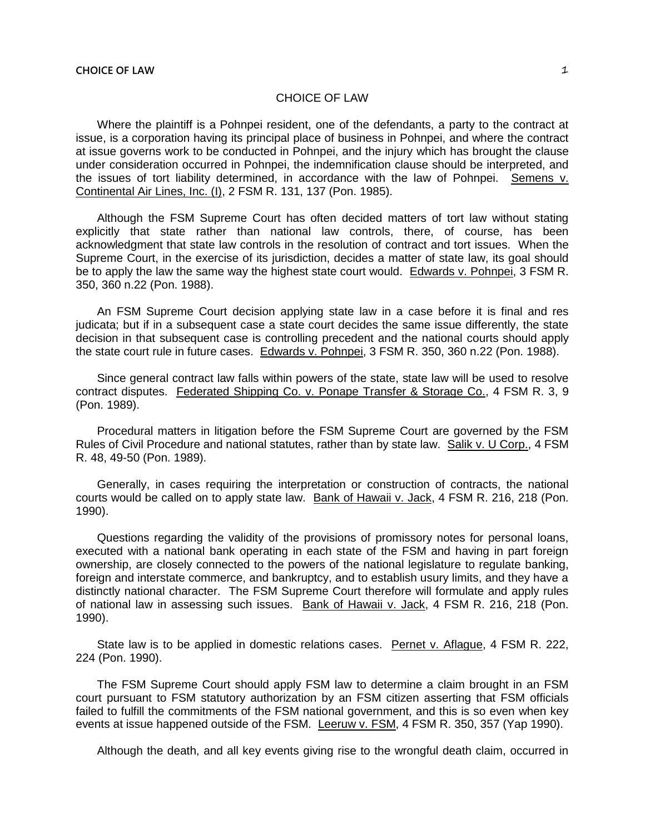## CHOICE OF LAW

Where the plaintiff is a Pohnpei resident, one of the defendants, a party to the contract at issue, is a corporation having its principal place of business in Pohnpei, and where the contract at issue governs work to be conducted in Pohnpei, and the injury which has brought the clause under consideration occurred in Pohnpei, the indemnification clause should be interpreted, and the issues of tort liability determined, in accordance with the law of Pohnpei. Semens v. Continental Air Lines, Inc. (I), 2 FSM R. 131, 137 (Pon. 1985).

Although the FSM Supreme Court has often decided matters of tort law without stating explicitly that state rather than national law controls, there, of course, has been acknowledgment that state law controls in the resolution of contract and tort issues. When the Supreme Court, in the exercise of its jurisdiction, decides a matter of state law, its goal should be to apply the law the same way the highest state court would. Edwards v. Pohnpei, 3 FSM R. 350, 360 n.22 (Pon. 1988).

An FSM Supreme Court decision applying state law in a case before it is final and res judicata; but if in a subsequent case a state court decides the same issue differently, the state decision in that subsequent case is controlling precedent and the national courts should apply the state court rule in future cases. Edwards v. Pohnpei, 3 FSM R. 350, 360 n.22 (Pon. 1988).

Since general contract law falls within powers of the state, state law will be used to resolve contract disputes. Federated Shipping Co. v. Ponape Transfer & Storage Co., 4 FSM R. 3, 9 (Pon. 1989).

Procedural matters in litigation before the FSM Supreme Court are governed by the FSM Rules of Civil Procedure and national statutes, rather than by state law. Salik v. U Corp., 4 FSM R. 48, 49-50 (Pon. 1989).

Generally, in cases requiring the interpretation or construction of contracts, the national courts would be called on to apply state law. Bank of Hawaii v. Jack, 4 FSM R. 216, 218 (Pon. 1990).

Questions regarding the validity of the provisions of promissory notes for personal loans, executed with a national bank operating in each state of the FSM and having in part foreign ownership, are closely connected to the powers of the national legislature to regulate banking, foreign and interstate commerce, and bankruptcy, and to establish usury limits, and they have a distinctly national character. The FSM Supreme Court therefore will formulate and apply rules of national law in assessing such issues. Bank of Hawaii v. Jack, 4 FSM R. 216, 218 (Pon. 1990).

State law is to be applied in domestic relations cases. Pernet v. Aflague, 4 FSM R. 222, 224 (Pon. 1990).

The FSM Supreme Court should apply FSM law to determine a claim brought in an FSM court pursuant to FSM statutory authorization by an FSM citizen asserting that FSM officials failed to fulfill the commitments of the FSM national government, and this is so even when key events at issue happened outside of the FSM. Leeruw v. FSM, 4 FSM R. 350, 357 (Yap 1990).

Although the death, and all key events giving rise to the wrongful death claim, occurred in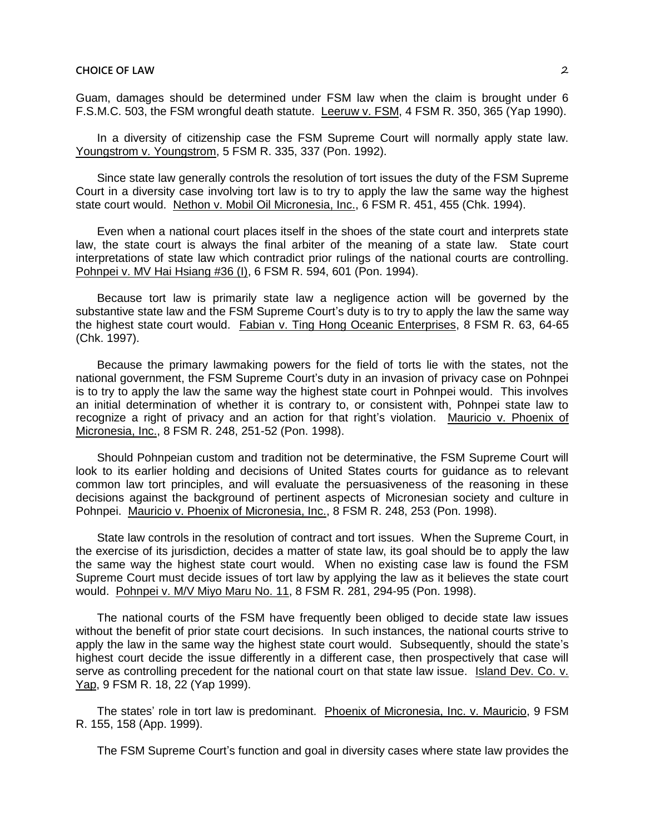Guam, damages should be determined under FSM law when the claim is brought under 6 F.S.M.C. 503, the FSM wrongful death statute. Leeruw v. FSM, 4 FSM R. 350, 365 (Yap 1990).

In a diversity of citizenship case the FSM Supreme Court will normally apply state law. Youngstrom v. Youngstrom, 5 FSM R. 335, 337 (Pon. 1992).

Since state law generally controls the resolution of tort issues the duty of the FSM Supreme Court in a diversity case involving tort law is to try to apply the law the same way the highest state court would. Nethon v. Mobil Oil Micronesia, Inc., 6 FSM R. 451, 455 (Chk. 1994).

Even when a national court places itself in the shoes of the state court and interprets state law, the state court is always the final arbiter of the meaning of a state law. State court interpretations of state law which contradict prior rulings of the national courts are controlling. Pohnpei v. MV Hai Hsiang #36 (I), 6 FSM R. 594, 601 (Pon. 1994).

Because tort law is primarily state law a negligence action will be governed by the substantive state law and the FSM Supreme Court's duty is to try to apply the law the same way the highest state court would. Fabian v. Ting Hong Oceanic Enterprises, 8 FSM R. 63, 64-65 (Chk. 1997).

Because the primary lawmaking powers for the field of torts lie with the states, not the national government, the FSM Supreme Court's duty in an invasion of privacy case on Pohnpei is to try to apply the law the same way the highest state court in Pohnpei would. This involves an initial determination of whether it is contrary to, or consistent with, Pohnpei state law to recognize a right of privacy and an action for that right's violation. Mauricio v. Phoenix of Micronesia, Inc., 8 FSM R. 248, 251-52 (Pon. 1998).

Should Pohnpeian custom and tradition not be determinative, the FSM Supreme Court will look to its earlier holding and decisions of United States courts for guidance as to relevant common law tort principles, and will evaluate the persuasiveness of the reasoning in these decisions against the background of pertinent aspects of Micronesian society and culture in Pohnpei. Mauricio v. Phoenix of Micronesia, Inc., 8 FSM R. 248, 253 (Pon. 1998).

State law controls in the resolution of contract and tort issues. When the Supreme Court, in the exercise of its jurisdiction, decides a matter of state law, its goal should be to apply the law the same way the highest state court would. When no existing case law is found the FSM Supreme Court must decide issues of tort law by applying the law as it believes the state court would. Pohnpei v. M/V Miyo Maru No. 11, 8 FSM R. 281, 294-95 (Pon. 1998).

The national courts of the FSM have frequently been obliged to decide state law issues without the benefit of prior state court decisions. In such instances, the national courts strive to apply the law in the same way the highest state court would. Subsequently, should the state's highest court decide the issue differently in a different case, then prospectively that case will serve as controlling precedent for the national court on that state law issue. Island Dev. Co. v. Yap, 9 FSM R. 18, 22 (Yap 1999).

The states' role in tort law is predominant. Phoenix of Micronesia, Inc. v. Mauricio, 9 FSM R. 155, 158 (App. 1999).

The FSM Supreme Court's function and goal in diversity cases where state law provides the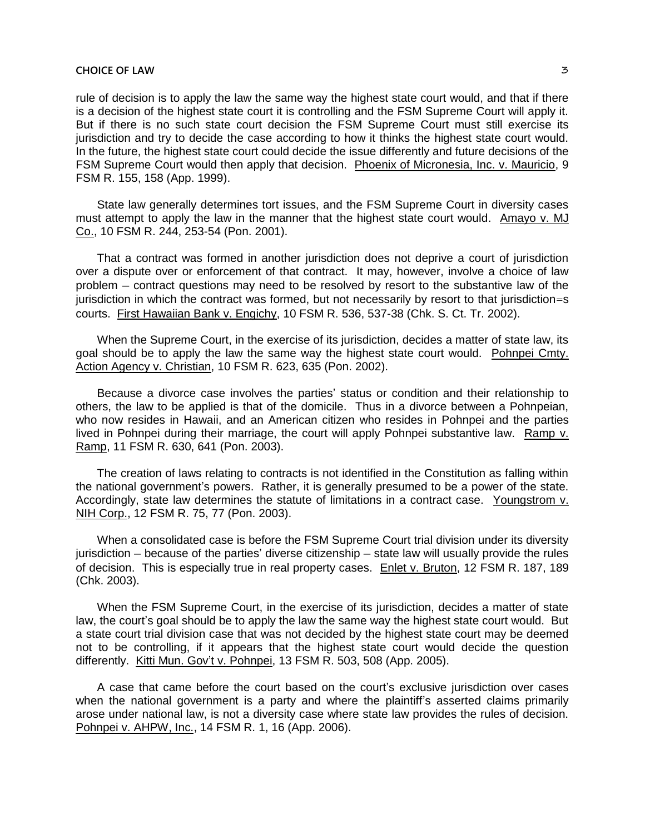## **CHOICE OF LAW 3**

rule of decision is to apply the law the same way the highest state court would, and that if there is a decision of the highest state court it is controlling and the FSM Supreme Court will apply it. But if there is no such state court decision the FSM Supreme Court must still exercise its jurisdiction and try to decide the case according to how it thinks the highest state court would. In the future, the highest state court could decide the issue differently and future decisions of the FSM Supreme Court would then apply that decision. Phoenix of Micronesia, Inc. v. Mauricio, 9 FSM R. 155, 158 (App. 1999).

State law generally determines tort issues, and the FSM Supreme Court in diversity cases must attempt to apply the law in the manner that the highest state court would. Amayo v. MJ Co., 10 FSM R. 244, 253-54 (Pon. 2001).

That a contract was formed in another jurisdiction does not deprive a court of jurisdiction over a dispute over or enforcement of that contract. It may, however, involve a choice of law problem ─ contract questions may need to be resolved by resort to the substantive law of the jurisdiction in which the contract was formed, but not necessarily by resort to that jurisdiction=s courts. First Hawaiian Bank v. Engichy, 10 FSM R. 536, 537-38 (Chk. S. Ct. Tr. 2002).

When the Supreme Court, in the exercise of its jurisdiction, decides a matter of state law, its goal should be to apply the law the same way the highest state court would. Pohnpei Cmty. Action Agency v. Christian, 10 FSM R. 623, 635 (Pon. 2002).

Because a divorce case involves the parties' status or condition and their relationship to others, the law to be applied is that of the domicile. Thus in a divorce between a Pohnpeian, who now resides in Hawaii, and an American citizen who resides in Pohnpei and the parties lived in Pohnpei during their marriage, the court will apply Pohnpei substantive law. Ramp v. Ramp, 11 FSM R. 630, 641 (Pon. 2003).

The creation of laws relating to contracts is not identified in the Constitution as falling within the national government's powers. Rather, it is generally presumed to be a power of the state. Accordingly, state law determines the statute of limitations in a contract case. Youngstrom v. NIH Corp., 12 FSM R. 75, 77 (Pon. 2003).

When a consolidated case is before the FSM Supreme Court trial division under its diversity jurisdiction ─ because of the parties' diverse citizenship ─ state law will usually provide the rules of decision. This is especially true in real property cases. Enlet v. Bruton, 12 FSM R. 187, 189 (Chk. 2003).

When the FSM Supreme Court, in the exercise of its jurisdiction, decides a matter of state law, the court's goal should be to apply the law the same way the highest state court would. But a state court trial division case that was not decided by the highest state court may be deemed not to be controlling, if it appears that the highest state court would decide the question differently. Kitti Mun. Gov't v. Pohnpei, 13 FSM R. 503, 508 (App. 2005).

A case that came before the court based on the court's exclusive jurisdiction over cases when the national government is a party and where the plaintiff's asserted claims primarily arose under national law, is not a diversity case where state law provides the rules of decision. Pohnpei v. AHPW, Inc., 14 FSM R. 1, 16 (App. 2006).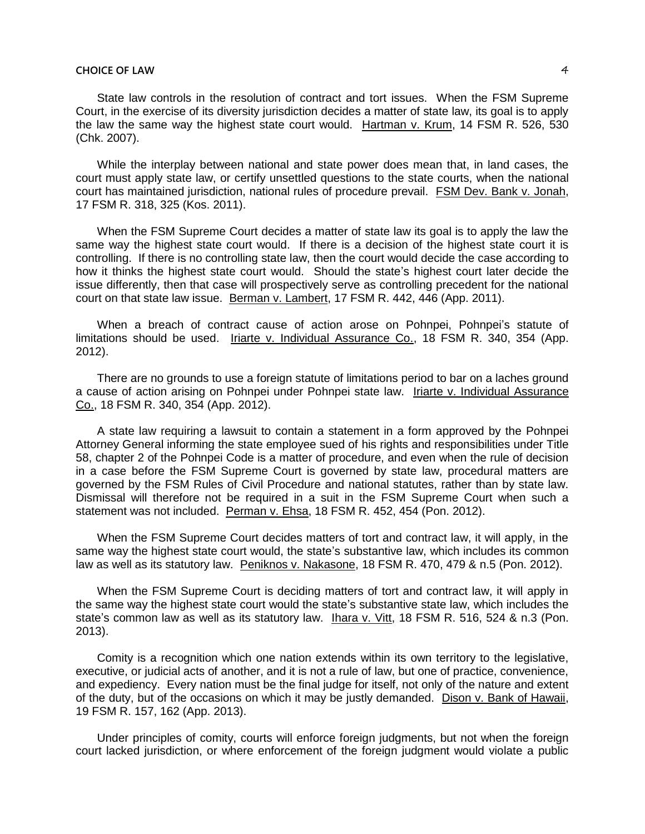## **CHOICE OF LAW 44 CHOICE OF LAW 64 CHOICE OF LAW 64 CHOICE OF LAW 64 CHOICE OF LAW 64 CHOICE OF LAW 64 CHOICE OF LAW 64 CHOICE OF LAW 64 CHOICE OF LAW 64 CHOICE OF LAW 64 CHOICE OF LAW 64 CHOICE OF LAW 64 CHOICE OF LAW 64**

State law controls in the resolution of contract and tort issues. When the FSM Supreme Court, in the exercise of its diversity jurisdiction decides a matter of state law, its goal is to apply the law the same way the highest state court would. Hartman v. Krum, 14 FSM R. 526, 530 (Chk. 2007).

While the interplay between national and state power does mean that, in land cases, the court must apply state law, or certify unsettled questions to the state courts, when the national court has maintained jurisdiction, national rules of procedure prevail. FSM Dev. Bank v. Jonah, 17 FSM R. 318, 325 (Kos. 2011).

When the FSM Supreme Court decides a matter of state law its goal is to apply the law the same way the highest state court would. If there is a decision of the highest state court it is controlling. If there is no controlling state law, then the court would decide the case according to how it thinks the highest state court would. Should the state's highest court later decide the issue differently, then that case will prospectively serve as controlling precedent for the national court on that state law issue. Berman v. Lambert, 17 FSM R. 442, 446 (App. 2011).

When a breach of contract cause of action arose on Pohnpei, Pohnpei's statute of limitations should be used. Iriarte v. Individual Assurance Co., 18 FSM R. 340, 354 (App. 2012).

There are no grounds to use a foreign statute of limitations period to bar on a laches ground a cause of action arising on Pohnpei under Pohnpei state law. Iriarte v. Individual Assurance Co., 18 FSM R. 340, 354 (App. 2012).

A state law requiring a lawsuit to contain a statement in a form approved by the Pohnpei Attorney General informing the state employee sued of his rights and responsibilities under Title 58, chapter 2 of the Pohnpei Code is a matter of procedure, and even when the rule of decision in a case before the FSM Supreme Court is governed by state law, procedural matters are governed by the FSM Rules of Civil Procedure and national statutes, rather than by state law. Dismissal will therefore not be required in a suit in the FSM Supreme Court when such a statement was not included. Perman v. Ehsa, 18 FSM R. 452, 454 (Pon. 2012).

When the FSM Supreme Court decides matters of tort and contract law, it will apply, in the same way the highest state court would, the state's substantive law, which includes its common law as well as its statutory law. Peniknos v. Nakasone, 18 FSM R. 470, 479 & n.5 (Pon. 2012).

When the FSM Supreme Court is deciding matters of tort and contract law, it will apply in the same way the highest state court would the state's substantive state law, which includes the state's common law as well as its statutory law. Ihara v. Vitt, 18 FSM R. 516, 524 & n.3 (Pon. 2013).

Comity is a recognition which one nation extends within its own territory to the legislative, executive, or judicial acts of another, and it is not a rule of law, but one of practice, convenience, and expediency. Every nation must be the final judge for itself, not only of the nature and extent of the duty, but of the occasions on which it may be justly demanded. Dison v. Bank of Hawaii, 19 FSM R. 157, 162 (App. 2013).

Under principles of comity, courts will enforce foreign judgments, but not when the foreign court lacked jurisdiction, or where enforcement of the foreign judgment would violate a public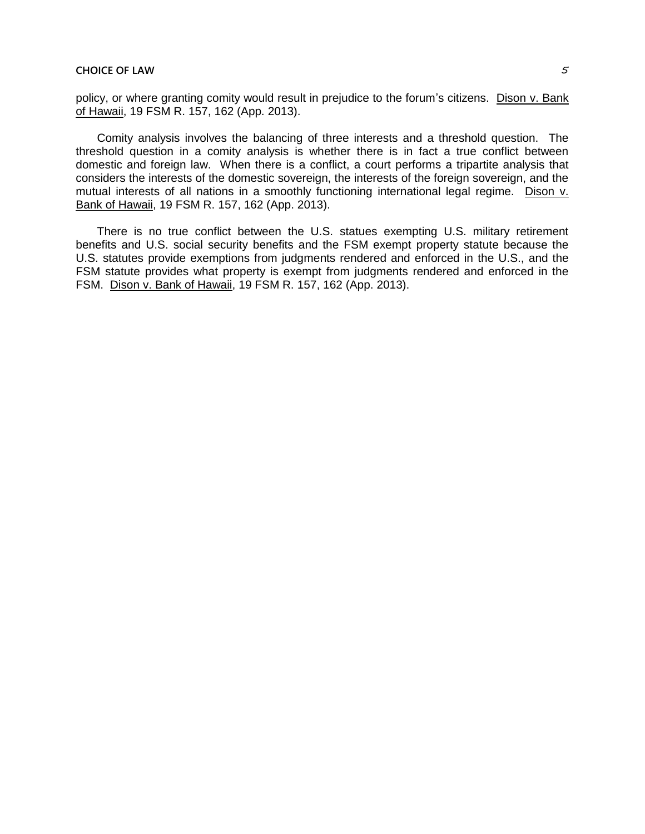policy, or where granting comity would result in prejudice to the forum's citizens. Dison v. Bank of Hawaii, 19 FSM R. 157, 162 (App. 2013).

Comity analysis involves the balancing of three interests and a threshold question. The threshold question in a comity analysis is whether there is in fact a true conflict between domestic and foreign law. When there is a conflict, a court performs a tripartite analysis that considers the interests of the domestic sovereign, the interests of the foreign sovereign, and the mutual interests of all nations in a smoothly functioning international legal regime. Dison v. Bank of Hawaii, 19 FSM R. 157, 162 (App. 2013).

There is no true conflict between the U.S. statues exempting U.S. military retirement benefits and U.S. social security benefits and the FSM exempt property statute because the U.S. statutes provide exemptions from judgments rendered and enforced in the U.S., and the FSM statute provides what property is exempt from judgments rendered and enforced in the FSM. Dison v. Bank of Hawaii, 19 FSM R. 157, 162 (App. 2013).